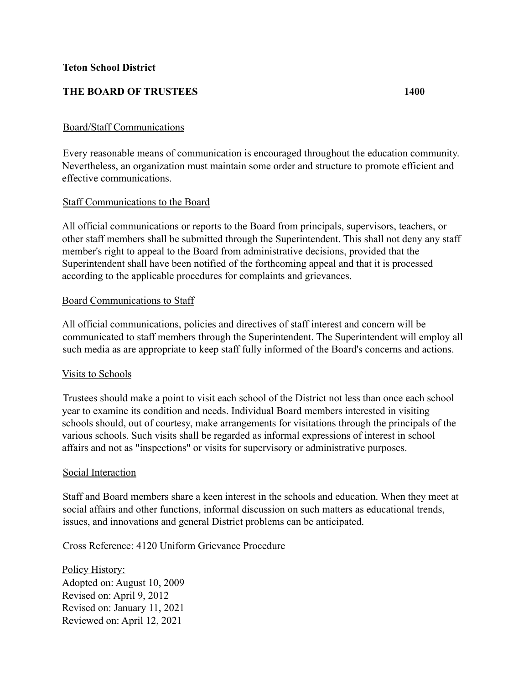## **THE BOARD OF TRUSTEES 1400**

### Board/Staff Communications

Every reasonable means of communication is encouraged throughout the education community. Nevertheless, an organization must maintain some order and structure to promote efficient and effective communications.

#### Staff Communications to the Board

All official communications or reports to the Board from principals, supervisors, teachers, or other staff members shall be submitted through the Superintendent. This shall not deny any staff member's right to appeal to the Board from administrative decisions, provided that the Superintendent shall have been notified of the forthcoming appeal and that it is processed according to the applicable procedures for complaints and grievances.

#### Board Communications to Staff

All official communications, policies and directives of staff interest and concern will be communicated to staff members through the Superintendent. The Superintendent will employ all such media as are appropriate to keep staff fully informed of the Board's concerns and actions.

# Visits to Schools

Trustees should make a point to visit each school of the District not less than once each school year to examine its condition and needs. Individual Board members interested in visiting schools should, out of courtesy, make arrangements for visitations through the principals of the various schools. Such visits shall be regarded as informal expressions of interest in school affairs and not as "inspections" or visits for supervisory or administrative purposes.

#### Social Interaction

Staff and Board members share a keen interest in the schools and education. When they meet at social affairs and other functions, informal discussion on such matters as educational trends, issues, and innovations and general District problems can be anticipated.

Cross Reference: 4120 Uniform Grievance Procedure

Policy History: Adopted on: August 10, 2009 Revised on: April 9, 2012 Revised on: January 11, 2021 Reviewed on: April 12, 2021